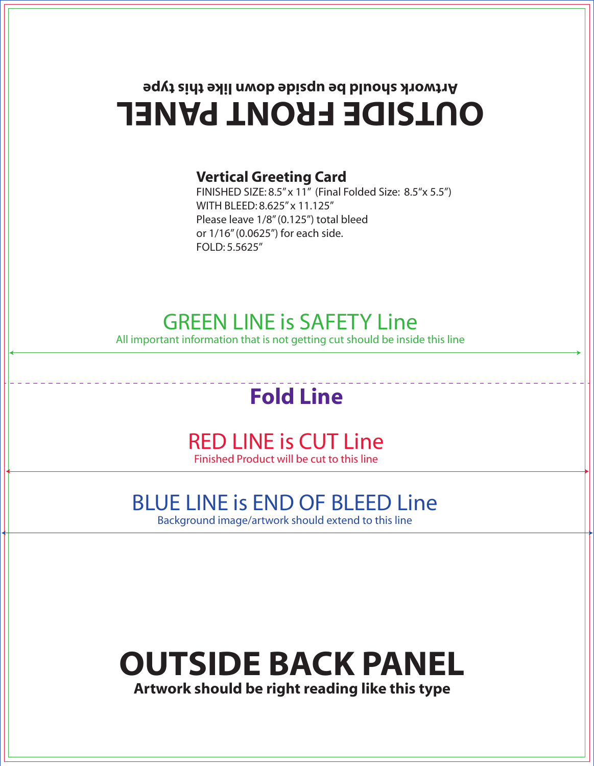## **OUTSIDE FRONT PANEL Artwork should be upside down like this type**

#### **Vertical Greeting Card**

FINISHED SIZE: 8.5" x 11" (Final Folded Size: 8.5"x 5.5") WITH BLEED: 8.625" x 11.125" Please leave 1/8" (0.125") total bleed or 1/16" (0.0625") for each side. FOLD: 5.5625"

#### GREEN LINE is SAFETY Line

All important information that is not getting cut should be inside this line

## **Fold Line**

#### RED LINE is CUT Line Finished Product will be cut to this line

#### BLUE LINE is END OF BLEED Line

Background image/artwork should extend to this line

# **OUTSIDE BACK PANEL**

**Artwork should be right reading like this type**